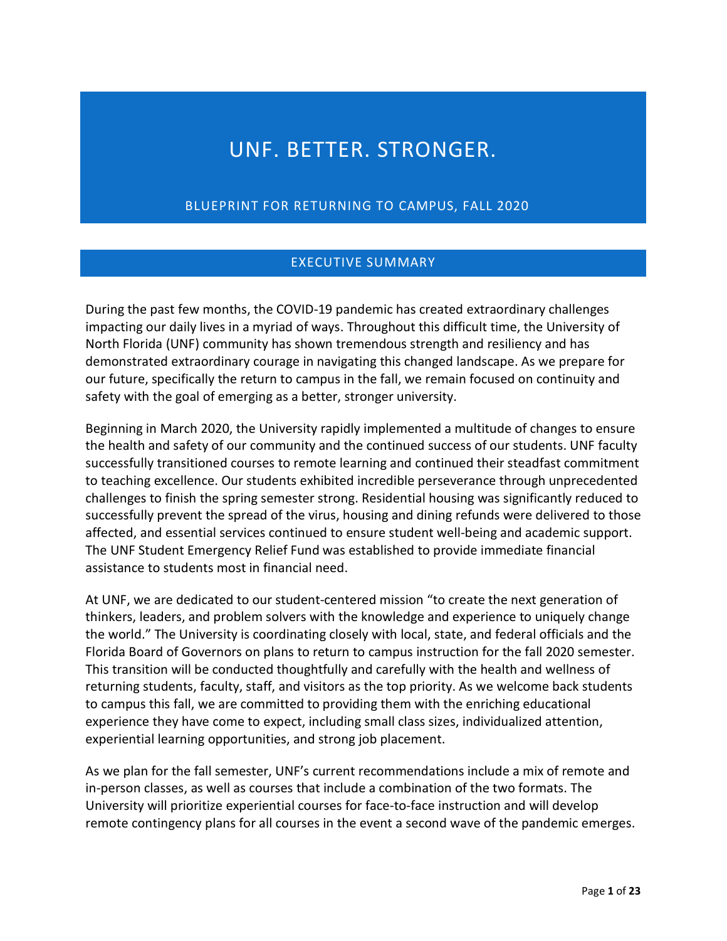# UNF. BETTER. STRONGER.

BLUEPRINT FOR RETURNING TO CAMPUS, FALL 2020

#### EXECUTIVE SUMMARY

 impacting our daily lives in a myriad of ways. Throughout this difficult time, the University of North Florida (UNF) community has shown tremendous strength and resiliency and has demonstrated extraordinary courage in navigating this changed landscape. As we prepare for our future, specifically the return to campus in the fall, we remain focused on continuity and safety with the goal of emerging as a better, stronger university. During the past few months, the COVID-19 pandemic has created extraordinary challenges

safety with the goal of emerging as a better, stronger university.<br>Beginning in March 2020, the University rapidly implemented a multitude of changes to ensure successfully transitioned courses to remote learning and continued their steadfast commitment to teaching excellence. Our students exhibited incredible perseverance through unprecedented challenges to finish the spring semester strong. Residential housing was significantly reduced to The UNF Student Emergency Relief Fund was established to provide immediate financial the health and safety of our community and the continued success of our students. UNF faculty successfully prevent the spread of the virus, housing and dining refunds were delivered to those affected, and essential services continued to ensure student well-being and academic support. assistance to students most in financial need.

 the world." The University is coordinating closely with local, state, and federal officials and the Florida Board of Governors on plans to return to campus instruction for the fall 2020 semester. experience they have come to expect, including small class sizes, individualized attention, At UNF, we are dedicated to our student-centered mission "to create the next generation of thinkers, leaders, and problem solvers with the knowledge and experience to uniquely change This transition will be conducted thoughtfully and carefully with the health and wellness of returning students, faculty, staff, and visitors as the top priority. As we welcome back students to campus this fall, we are committed to providing them with the enriching educational experiential learning opportunities, and strong job placement.

 As we plan for the fall semester, UNF's current recommendations include a mix of remote and University will prioritize experiential courses for face-to-face instruction and will develop in-person classes, as well as courses that include a combination of the two formats. The remote contingency plans for all courses in the event a second wave of the pandemic emerges.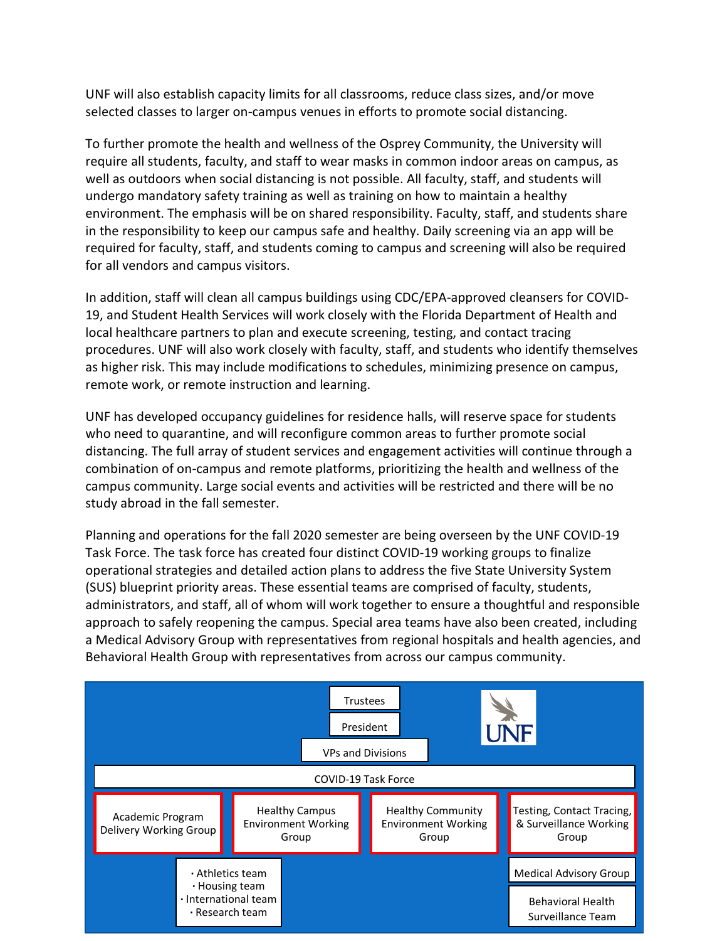UNF will also establish capacity limits for all classrooms, reduce class sizes, and/or move selected classes to larger on-campus venues in efforts to promote social distancing.

To further promote the health and wellness of the Osprey Community, the University will require all students, faculty, and staff to wear masks in common indoor areas on campus, as well as outdoors when social distancing is not possible. All faculty, staff, and students will undergo mandatory safety training as well as training on how to maintain a healthy environment. The emphasis will be on shared responsibility. Faculty, staff, and students share in the responsibility to keep our campus safe and healthy. Daily screening via an app will be required for faculty, staff, and students coming to campus and screening will also be required for all vendors and campus visitors.

In addition, staff will clean all campus buildings using CDC/EPA-approved cleansers for COVID-19, and Student Health Services will work closely with the Florida Department of Health and local healthcare partners to plan and execute screening, testing, and contact tracing procedures. UNF will also work closely with faculty, staff, and students who identify themselves as higher risk. This may include modifications to schedules, minimizing presence on campus, remote work, or remote instruction and learning.

UNF has developed occupancy guidelines for residence halls, will reserve space for students who need to quarantine, and will reconfigure common areas to further promote social distancing. The full array of student services and engagement activities will continue through a combination of on-campus and remote platforms, prioritizing the health and wellness of the campus community. Large social events and activities will be restricted and there will be no study abroad in the fall semester.

Planning and operations for the fall 2020 semester are being overseen by the UNF COVID-19 Task Force. The task force has created four distinct COVID-19 working groups to finalize operational strategies and detailed action plans to address the five State University System (SUS) blueprint priority areas. These essential teams are comprised of faculty, students, administrators, and staff, all of whom will work together to ensure a thoughtful and responsible approach to safely reopening the campus. Special area teams have also been created, including a Medical Advisory Group with representatives from regional hospitals and health agencies, and Behavioral Health Group with representatives from across our campus community.

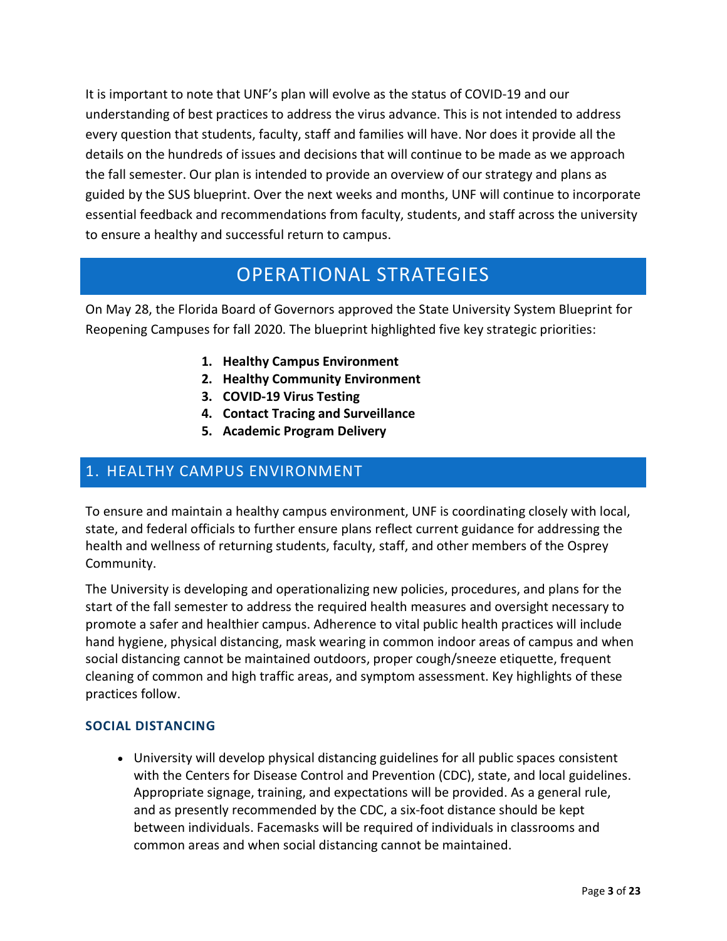It is important to note that UNF's plan will evolve as the status of COVID-19 and our understanding of best practices to address the virus advance. This is not intended to address every question that students, faculty, staff and families will have. Nor does it provide all the details on the hundreds of issues and decisions that will continue to be made as we approach the fall semester. Our plan is intended to provide an overview of our strategy and plans as guided by the SUS blueprint. Over the next weeks and months, UNF will continue to incorporate essential feedback and recommendations from faculty, students, and staff across the university to ensure a healthy and successful return to campus.

## OPERATIONAL STRATEGIES

 On May 28, the Florida Board of Governors approved the State University System Blueprint for Reopening Campuses for fall 2020. The blueprint highlighted five key strategic priorities:

- **1. Healthy Campus Environment**
- **2. Healthy Community Environment**
- **3. COVID-19 Virus Testing**
- **4. Contact Tracing and Surveillance**
- **5. Academic Program Delivery**

## 1. HEALTHY CAMPUS ENVIRONMENT

 To ensure and maintain a healthy campus environment, UNF is coordinating closely with local, health and wellness of returning students, faculty, staff, and other members of the Osprey state, and federal officials to further ensure plans reflect current guidance for addressing the Community.

 promote a safer and healthier campus. Adherence to vital public health practices will include hand hygiene, physical distancing, mask wearing in common indoor areas of campus and when social distancing cannot be maintained outdoors, proper cough/sneeze etiquette, frequent The University is developing and operationalizing new policies, procedures, and plans for the start of the fall semester to address the required health measures and oversight necessary to cleaning of common and high traffic areas, and symptom assessment. Key highlights of these practices follow.

#### **SOCIAL DISTANCING**

• University will develop physical distancing guidelines for all public spaces consistent with the Centers for Disease Control and Prevention (CDC), state, and local guidelines. Appropriate signage, training, and expectations will be provided. As a general rule, and as presently recommended by the CDC, a six-foot distance should be kept between individuals. Facemasks will be required of individuals in classrooms and common areas and when social distancing cannot be maintained.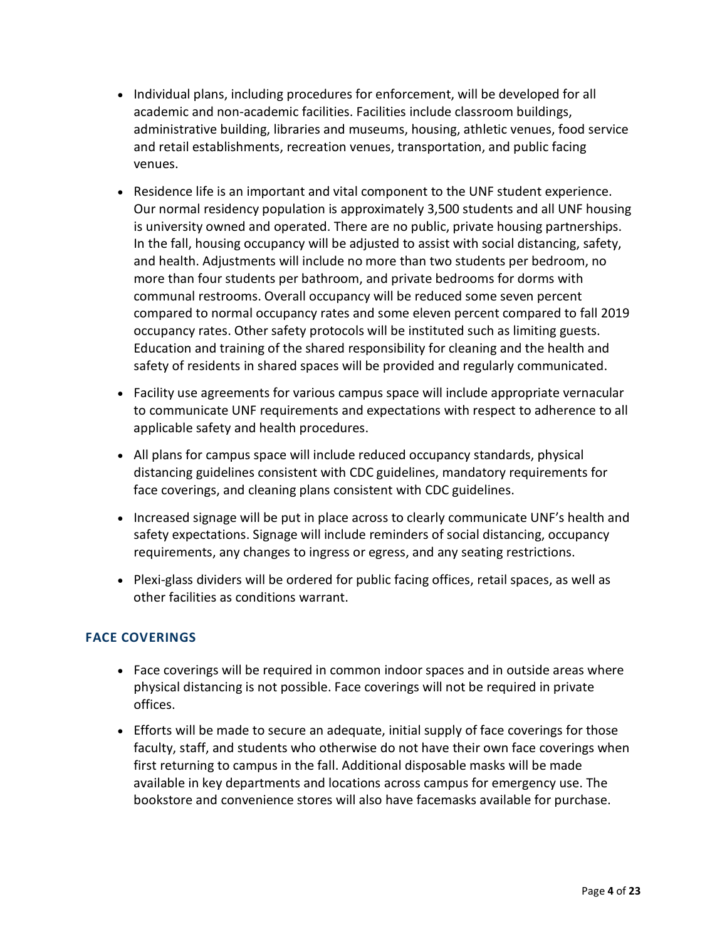- administrative building, libraries and museums, housing, athletic venues, food service and retail establishments, recreation venues, transportation, and public facing • Individual plans, including procedures for enforcement, will be developed for all academic and non-academic facilities. Facilities include classroom buildings, venues.
- and health. Adjustments will include no more than two students per bedroom, no occupancy rates. Other safety protocols will be instituted such as limiting guests. safety of residents in shared spaces will be provided and regularly communicated. • Residence life is an important and vital component to the UNF student experience. Our normal residency population is approximately 3,500 students and all UNF housing is university owned and operated. There are no public, private housing partnerships. In the fall, housing occupancy will be adjusted to assist with social distancing, safety, more than four students per bathroom, and private bedrooms for dorms with communal restrooms. Overall occupancy will be reduced some seven percent compared to normal occupancy rates and some eleven percent compared to fall 2019 Education and training of the shared responsibility for cleaning and the health and
- applicable safety and health procedures. • Facility use agreements for various campus space will include appropriate vernacular to communicate UNF requirements and expectations with respect to adherence to all
- distancing guidelines consistent with CDC guidelines, mandatory requirements for • All plans for campus space will include reduced occupancy standards, physical face coverings, and cleaning plans consistent with CDC guidelines.
- • Increased signage will be put in place across to clearly communicate UNF's health and safety expectations. Signage will include reminders of social distancing, occupancy requirements, any changes to ingress or egress, and any seating restrictions.
- Plexi-glass dividers will be ordered for public facing offices, retail spaces, as well as other facilities as conditions warrant.

#### **FACE COVERINGS**

- • Face coverings will be required in common indoor spaces and in outside areas where physical distancing is not possible. Face coverings will not be required in private offices.
- available in key departments and locations across campus for emergency use. The • Efforts will be made to secure an adequate, initial supply of face coverings for those faculty, staff, and students who otherwise do not have their own face coverings when first returning to campus in the fall. Additional disposable masks will be made bookstore and convenience stores will also have facemasks available for purchase.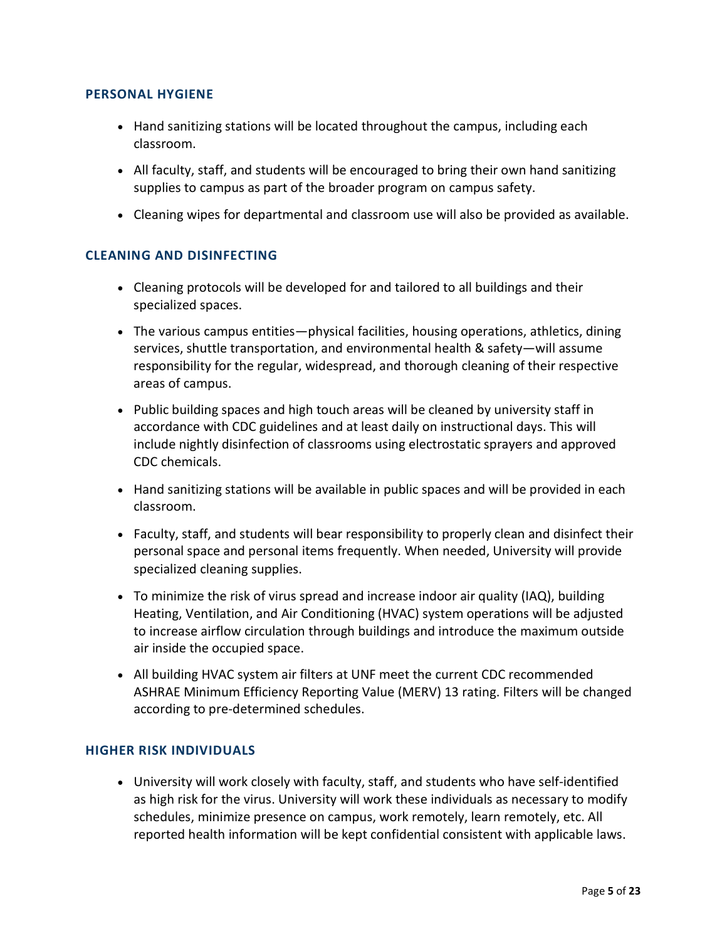#### **PERSONAL HYGIENE**

- Hand sanitizing stations will be located throughout the campus, including each classroom.
- • All faculty, staff, and students will be encouraged to bring their own hand sanitizing supplies to campus as part of the broader program on campus safety.
- Cleaning wipes for departmental and classroom use will also be provided as available.

#### **CLEANING AND DISINFECTING**

- Cleaning protocols will be developed for and tailored to all buildings and their specialized spaces.
- The various campus entities—physical facilities, housing operations, athletics, dining services, shuttle transportation, and environmental health & safety—will assume responsibility for the regular, widespread, and thorough cleaning of their respective areas of campus.
- • Public building spaces and high touch areas will be cleaned by university staff in accordance with CDC guidelines and at least daily on instructional days. This will include nightly disinfection of classrooms using electrostatic sprayers and approved CDC chemicals.
- Hand sanitizing stations will be available in public spaces and will be provided in each classroom.
- Faculty, staff, and students will bear responsibility to properly clean and disinfect their personal space and personal items frequently. When needed, University will provide specialized cleaning supplies.
- air inside the occupied space. • To minimize the risk of virus spread and increase indoor air quality (IAQ), building Heating, Ventilation, and Air Conditioning (HVAC) system operations will be adjusted to increase airflow circulation through buildings and introduce the maximum outside
- All building HVAC system air filters at UNF meet the current CDC recommended ASHRAE Minimum Efficiency Reporting Value (MERV) 13 rating. Filters will be changed according to pre-determined schedules.

#### **HIGHER RISK INDIVIDUALS**

 schedules, minimize presence on campus, work remotely, learn remotely, etc. All • University will work closely with faculty, staff, and students who have self-identified as high risk for the virus. University will work these individuals as necessary to modify reported health information will be kept confidential consistent with applicable laws.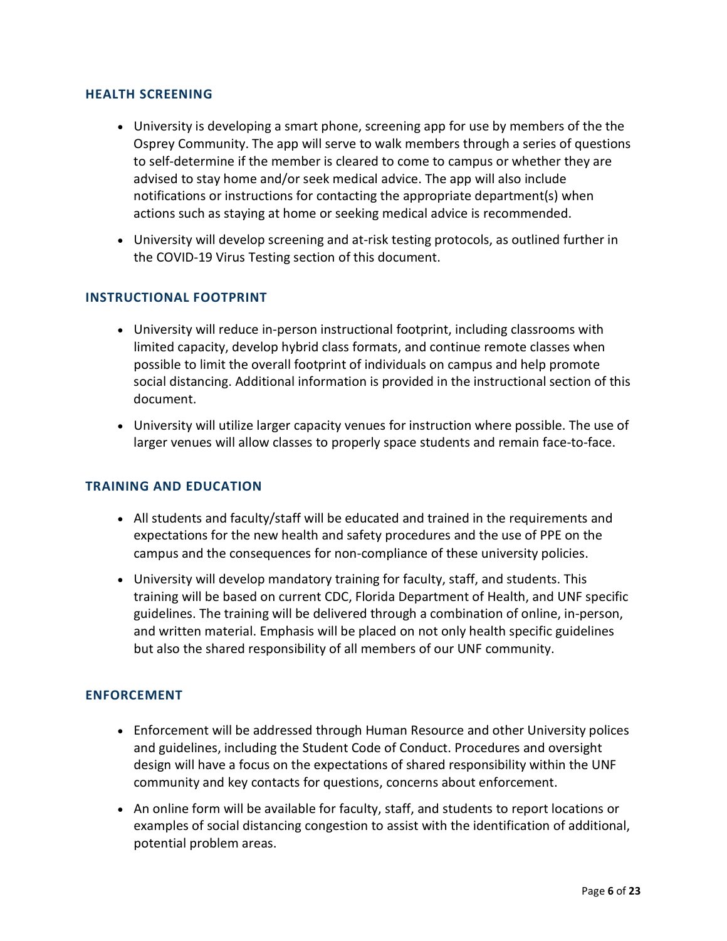#### **HEALTH SCREENING**

- • University is developing a smart phone, screening app for use by members of the the Osprey Community. The app will serve to walk members through a series of questions advised to stay home and/or seek medical advice. The app will also include to self-determine if the member is cleared to come to campus or whether they are notifications or instructions for contacting the appropriate department(s) when actions such as staying at home or seeking medical advice is recommended.
- • University will develop screening and at-risk testing protocols, as outlined further in the COVID-19 Virus Testing section of this document.

#### **INSTRUCTIONAL FOOTPRINT**

- possible to limit the overall footprint of individuals on campus and help promote • University will reduce in-person instructional footprint, including classrooms with limited capacity, develop hybrid class formats, and continue remote classes when social distancing. Additional information is provided in the instructional section of this document.
- University will utilize larger capacity venues for instruction where possible. The use of larger venues will allow classes to properly space students and remain face-to-face.

#### **TRAINING AND EDUCATION**

- • All students and faculty/staff will be educated and trained in the requirements and expectations for the new health and safety procedures and the use of PPE on the campus and the consequences for non-compliance of these university policies.
- training will be based on current CDC, Florida Department of Health, and UNF specific • University will develop mandatory training for faculty, staff, and students. This guidelines. The training will be delivered through a combination of online, in-person, and written material. Emphasis will be placed on not only health specific guidelines but also the shared responsibility of all members of our UNF community.

#### **ENFORCEMENT**

- • Enforcement will be addressed through Human Resource and other University polices and guidelines, including the Student Code of Conduct. Procedures and oversight design will have a focus on the expectations of shared responsibility within the UNF community and key contacts for questions, concerns about enforcement.
- • An online form will be available for faculty, staff, and students to report locations or examples of social distancing congestion to assist with the identification of additional, potential problem areas.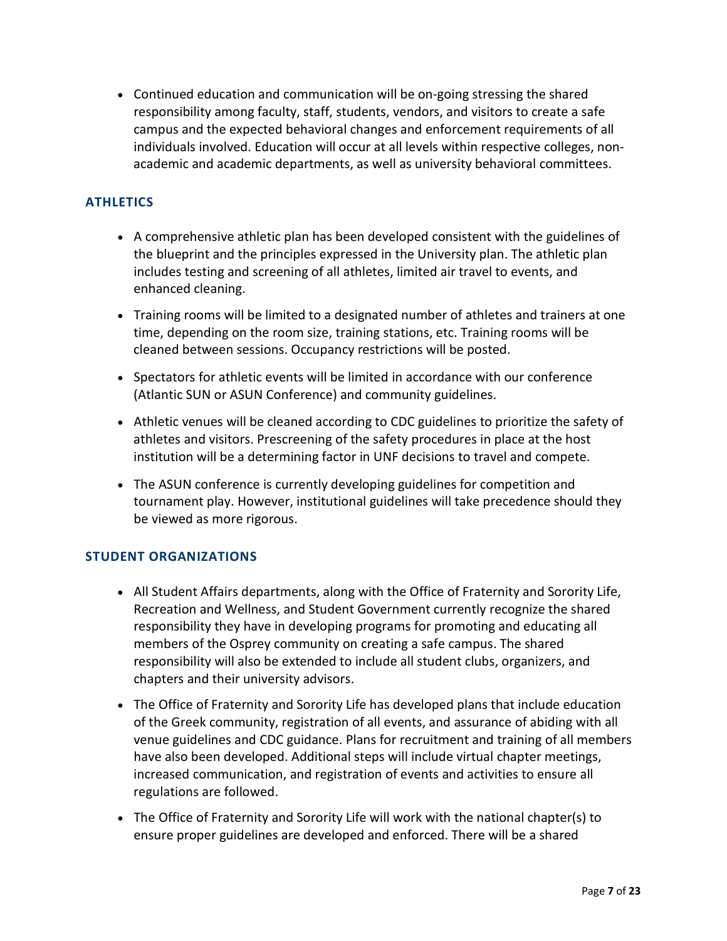responsibility among faculty, staff, students, vendors, and visitors to create a safe academic and academic departments, as well as university behavioral committees. • Continued education and communication will be on-going stressing the shared campus and the expected behavioral changes and enforcement requirements of all individuals involved. Education will occur at all levels within respective colleges, non-

#### **ATHLETICS**

- • A comprehensive athletic plan has been developed consistent with the guidelines of the blueprint and the principles expressed in the University plan. The athletic plan includes testing and screening of all athletes, limited air travel to events, and enhanced cleaning.
- Training rooms will be limited to a designated number of athletes and trainers at one time, depending on the room size, training stations, etc. Training rooms will be cleaned between sessions. Occupancy restrictions will be posted.
- • Spectators for athletic events will be limited in accordance with our conference (Atlantic SUN or ASUN Conference) and community guidelines.
- • Athletic venues will be cleaned according to CDC guidelines to prioritize the safety of institution will be a determining factor in UNF decisions to travel and compete. athletes and visitors. Prescreening of the safety procedures in place at the host
- The ASUN conference is currently developing guidelines for competition and tournament play. However, institutional guidelines will take precedence should they be viewed as more rigorous.

#### **STUDENT ORGANIZATIONS**

- • All Student Affairs departments, along with the Office of Fraternity and Sorority Life, Recreation and Wellness, and Student Government currently recognize the shared responsibility they have in developing programs for promoting and educating all members of the Osprey community on creating a safe campus. The shared responsibility will also be extended to include all student clubs, organizers, and chapters and their university advisors.
- have also been developed. Additional steps will include virtual chapter meetings, • The Office of Fraternity and Sorority Life has developed plans that include education of the Greek community, registration of all events, and assurance of abiding with all venue guidelines and CDC guidance. Plans for recruitment and training of all members increased communication, and registration of events and activities to ensure all regulations are followed.
- ensure proper guidelines are developed and enforced. There will be a shared • The Office of Fraternity and Sorority Life will work with the national chapter(s) to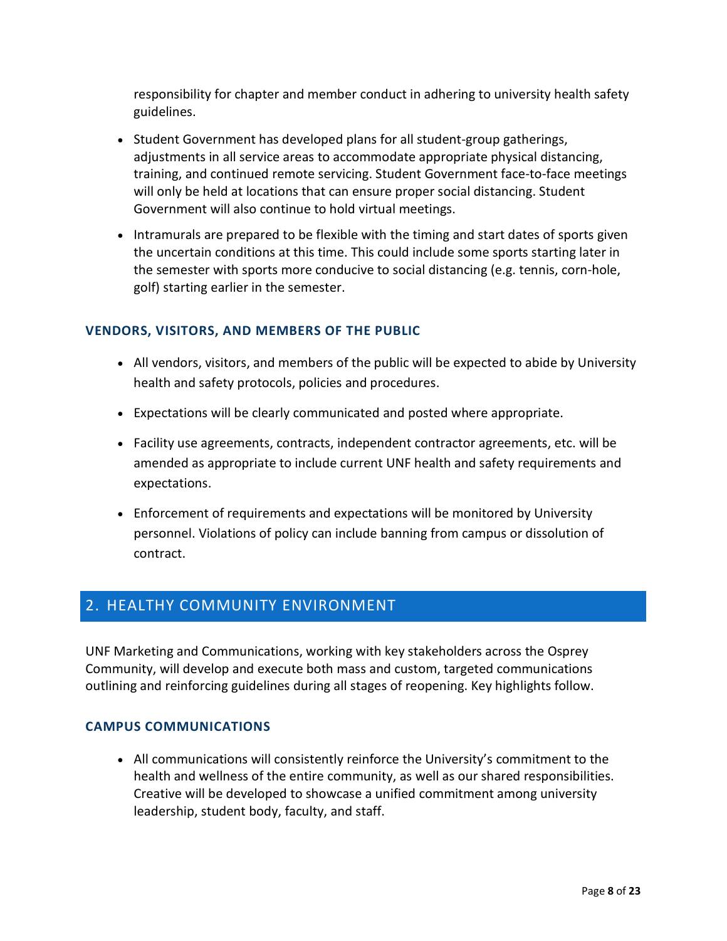responsibility for chapter and member conduct in adhering to university health safety guidelines.

- • Student Government has developed plans for all student-group gatherings, training, and continued remote servicing. Student Government face-to-face meetings adjustments in all service areas to accommodate appropriate physical distancing, will only be held at locations that can ensure proper social distancing. Student Government will also continue to hold virtual meetings.
- the uncertain conditions at this time. This could include some sports starting later in the semester with sports more conducive to social distancing (e.g. tennis, corn-hole, • Intramurals are prepared to be flexible with the timing and start dates of sports given golf) starting earlier in the semester.

#### **VENDORS, VISITORS, AND MEMBERS OF THE PUBLIC**

- • All vendors, visitors, and members of the public will be expected to abide by University health and safety protocols, policies and procedures.
- Expectations will be clearly communicated and posted where appropriate.
- Facility use agreements, contracts, independent contractor agreements, etc. will be amended as appropriate to include current UNF health and safety requirements and expectations.
- • Enforcement of requirements and expectations will be monitored by University personnel. Violations of policy can include banning from campus or dissolution of contract.

### 2. HEALTHY COMMUNITY ENVIRONMENT

UNF Marketing and Communications, working with key stakeholders across the Osprey Community, will develop and execute both mass and custom, targeted communications outlining and reinforcing guidelines during all stages of reopening. Key highlights follow.

#### **CAMPUS COMMUNICATIONS**

 Creative will be developed to showcase a unified commitment among university • All communications will consistently reinforce the University's commitment to the health and wellness of the entire community, as well as our shared responsibilities. leadership, student body, faculty, and staff.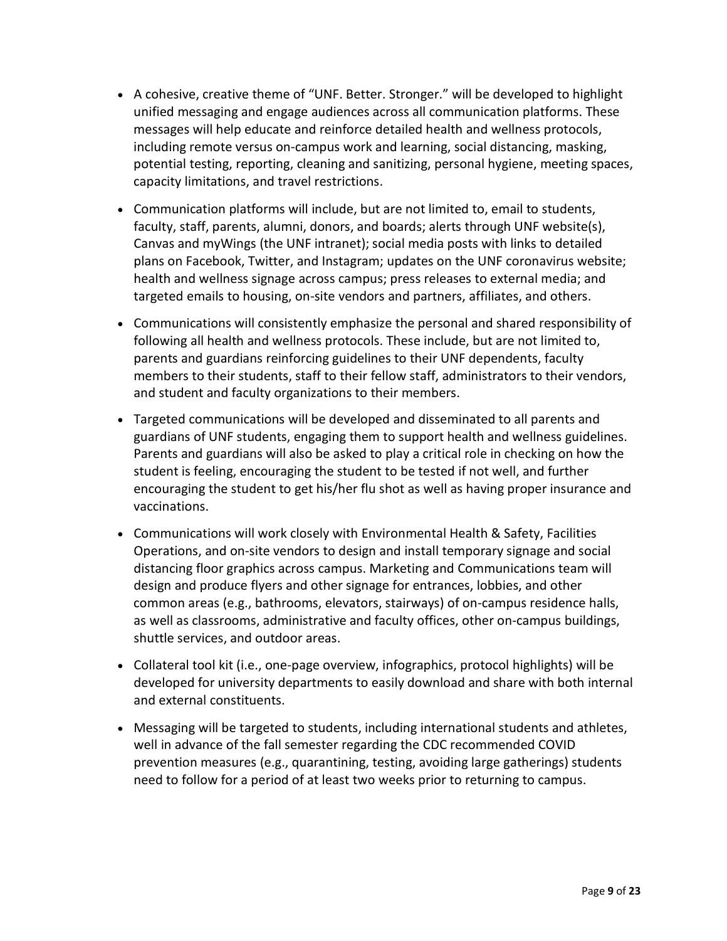- • A cohesive, creative theme of "UNF. Better. Stronger." will be developed to highlight messages will help educate and reinforce detailed health and wellness protocols, unified messaging and engage audiences across all communication platforms. These including remote versus on-campus work and learning, social distancing, masking, potential testing, reporting, cleaning and sanitizing, personal hygiene, meeting spaces, capacity limitations, and travel restrictions.
- • Communication platforms will include, but are not limited to, email to students, plans on Facebook, Twitter, and Instagram; updates on the UNF coronavirus website; faculty, staff, parents, alumni, donors, and boards; alerts through UNF website(s), Canvas and myWings (the UNF intranet); social media posts with links to detailed health and wellness signage across campus; press releases to external media; and targeted emails to housing, on-site vendors and partners, affiliates, and others.
- following all health and wellness protocols. These include, but are not limited to, • Communications will consistently emphasize the personal and shared responsibility of parents and guardians reinforcing guidelines to their UNF dependents, faculty members to their students, staff to their fellow staff, administrators to their vendors, and student and faculty organizations to their members.
- • Targeted communications will be developed and disseminated to all parents and guardians of UNF students, engaging them to support health and wellness guidelines. student is feeling, encouraging the student to be tested if not well, and further encouraging the student to get his/her flu shot as well as having proper insurance and Parents and guardians will also be asked to play a critical role in checking on how the vaccinations.
- Operations, and on-site vendors to design and install temporary signage and social • Communications will work closely with Environmental Health & Safety, Facilities distancing floor graphics across campus. Marketing and Communications team will design and produce flyers and other signage for entrances, lobbies, and other common areas (e.g., bathrooms, elevators, stairways) of on-campus residence halls, as well as classrooms, administrative and faculty offices, other on-campus buildings, shuttle services, and outdoor areas.
- Collateral tool kit (i.e., one-page overview, infographics, protocol highlights) will be developed for university departments to easily download and share with both internal and external constituents.
- need to follow for a period of at least two weeks prior to returning to campus. • Messaging will be targeted to students, including international students and athletes, well in advance of the fall semester regarding the CDC recommended COVID prevention measures (e.g., quarantining, testing, avoiding large gatherings) students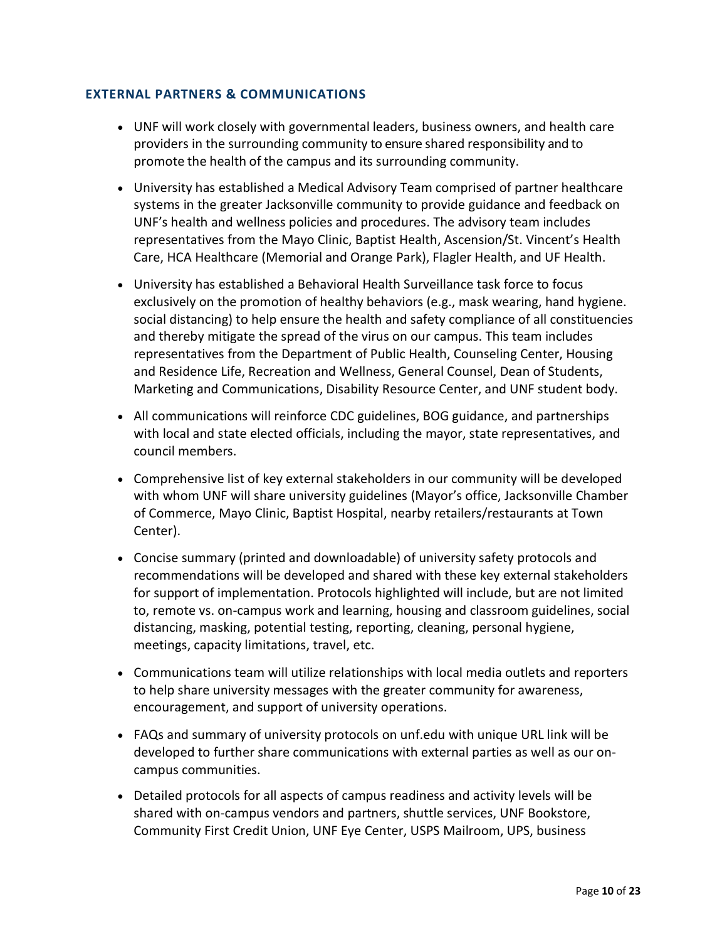#### **EXTERNAL PARTNERS & COMMUNICATIONS**

- promote the health of the campus and its surrounding community. • UNF will work closely with governmental leaders, business owners, and health care providers in the surrounding community to ensure shared responsibility and to
- University has established a Medical Advisory Team comprised of partner healthcare systems in the greater Jacksonville community to provide guidance and feedback on UNF's health and wellness policies and procedures. The advisory team includes representatives from the Mayo Clinic, Baptist Health, Ascension/St. Vincent's Health Care, HCA Healthcare (Memorial and Orange Park), Flagler Health, and UF Health.
- social distancing) to help ensure the health and safety compliance of all constituencies Marketing and Communications, Disability Resource Center, and UNF student body. • University has established a Behavioral Health Surveillance task force to focus exclusively on the promotion of healthy behaviors (e.g., mask wearing, hand hygiene. and thereby mitigate the spread of the virus on our campus. This team includes representatives from the Department of Public Health, Counseling Center, Housing and Residence Life, Recreation and Wellness, General Counsel, Dean of Students,
- All communications will reinforce CDC guidelines, BOG guidance, and partnerships with local and state elected officials, including the mayor, state representatives, and council members.
- • Comprehensive list of key external stakeholders in our community will be developed with whom UNF will share university guidelines (Mayor's office, Jacksonville Chamber of Commerce, Mayo Clinic, Baptist Hospital, nearby retailers/restaurants at Town Center).
- for support of implementation. Protocols highlighted will include, but are not limited • Concise summary (printed and downloadable) of university safety protocols and recommendations will be developed and shared with these key external stakeholders to, remote vs. on-campus work and learning, housing and classroom guidelines, social distancing, masking, potential testing, reporting, cleaning, personal hygiene, meetings, capacity limitations, travel, etc.
- to help share university messages with the greater community for awareness, • Communications team will utilize relationships with local media outlets and reporters encouragement, and support of university operations.
- • FAQs and summary of university protocols on unf.edu with unique URL link will be developed to further share communications with external parties as well as our oncampus communities.
- Detailed protocols for all aspects of campus readiness and activity levels will be shared with on-campus vendors and partners, shuttle services, UNF Bookstore, Community First Credit Union, UNF Eye Center, USPS Mailroom, UPS, business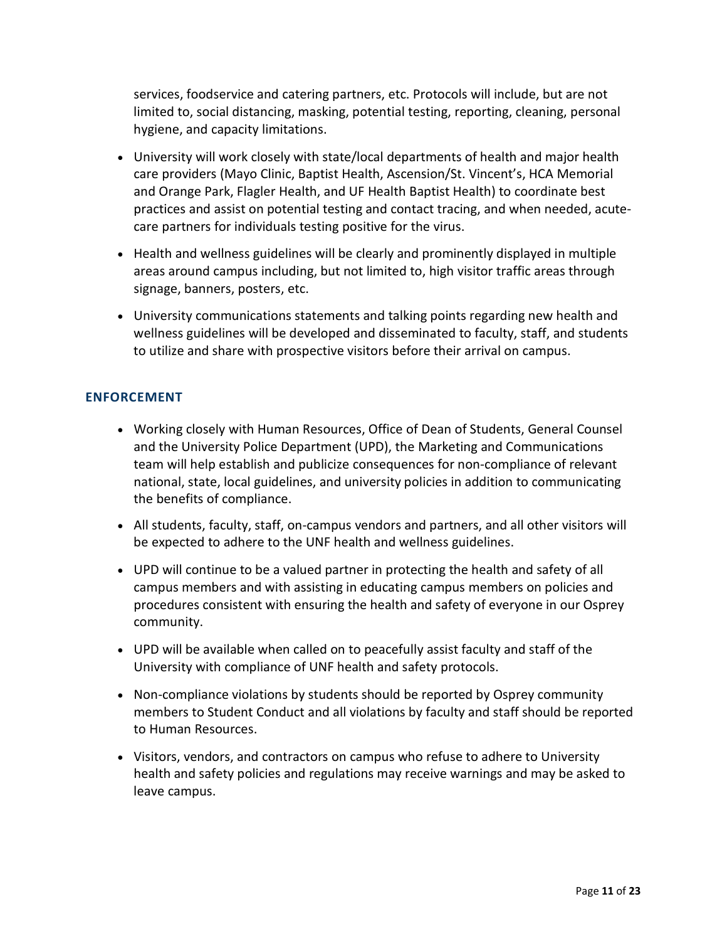services, foodservice and catering partners, etc. Protocols will include, but are not limited to, social distancing, masking, potential testing, reporting, cleaning, personal hygiene, and capacity limitations.

- • University will work closely with state/local departments of health and major health practices and assist on potential testing and contact tracing, and when needed, acutecare providers (Mayo Clinic, Baptist Health, Ascension/St. Vincent's, HCA Memorial and Orange Park, Flagler Health, and UF Health Baptist Health) to coordinate best care partners for individuals testing positive for the virus.
- Health and wellness guidelines will be clearly and prominently displayed in multiple areas around campus including, but not limited to, high visitor traffic areas through signage, banners, posters, etc.
- wellness guidelines will be developed and disseminated to faculty, staff, and students to utilize and share with prospective visitors before their arrival on campus. • University communications statements and talking points regarding new health and

#### **ENFORCEMENT**

- national, state, local guidelines, and university policies in addition to communicating • Working closely with Human Resources, Office of Dean of Students, General Counsel and the University Police Department (UPD), the Marketing and Communications team will help establish and publicize consequences for non-compliance of relevant the benefits of compliance.
- All students, faculty, staff, on-campus vendors and partners, and all other visitors will be expected to adhere to the UNF health and wellness guidelines.
- UPD will continue to be a valued partner in protecting the health and safety of all campus members and with assisting in educating campus members on policies and procedures consistent with ensuring the health and safety of everyone in our Osprey community.
- UPD will be available when called on to peacefully assist faculty and staff of the University with compliance of UNF health and safety protocols.
- • Non-compliance violations by students should be reported by Osprey community members to Student Conduct and all violations by faculty and staff should be reported to Human Resources.
- Visitors, vendors, and contractors on campus who refuse to adhere to University health and safety policies and regulations may receive warnings and may be asked to leave campus.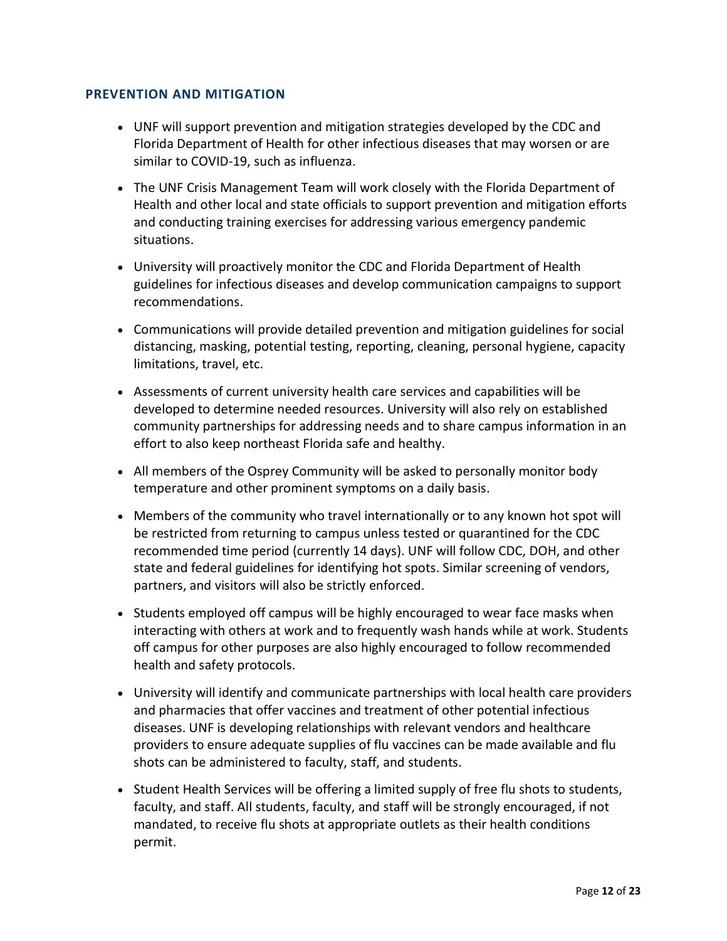#### **PREVENTION AND MITIGATION**

- UNF will support prevention and mitigation strategies developed by the CDC and Florida Department of Health for other infectious diseases that may worsen or are similar to COVID-19, such as influenza.
- and conducting training exercises for addressing various emergency pandemic • The UNF Crisis Management Team will work closely with the Florida Department of Health and other local and state officials to support prevention and mitigation efforts situations.
- University will proactively monitor the CDC and Florida Department of Health guidelines for infectious diseases and develop communication campaigns to support recommendations.
- Communications will provide detailed prevention and mitigation guidelines for social distancing, masking, potential testing, reporting, cleaning, personal hygiene, capacity limitations, travel, etc.
- • Assessments of current university health care services and capabilities will be community partnerships for addressing needs and to share campus information in an developed to determine needed resources. University will also rely on established effort to also keep northeast Florida safe and healthy.
- temperature and other prominent symptoms on a daily basis. • All members of the Osprey Community will be asked to personally monitor body
- Members of the community who travel internationally or to any known hot spot will be restricted from returning to campus unless tested or quarantined for the CDC recommended time period (currently 14 days). UNF will follow CDC, DOH, and other state and federal guidelines for identifying hot spots. Similar screening of vendors, partners, and visitors will also be strictly enforced.
- • Students employed off campus will be highly encouraged to wear face masks when interacting with others at work and to frequently wash hands while at work. Students off campus for other purposes are also highly encouraged to follow recommended health and safety protocols.
- and pharmacies that offer vaccines and treatment of other potential infectious providers to ensure adequate supplies of flu vaccines can be made available and flu • University will identify and communicate partnerships with local health care providers diseases. UNF is developing relationships with relevant vendors and healthcare shots can be administered to faculty, staff, and students.
- • Student Health Services will be offering a limited supply of free flu shots to students, faculty, and staff. All students, faculty, and staff will be strongly encouraged, if not mandated, to receive flu shots at appropriate outlets as their health conditions permit.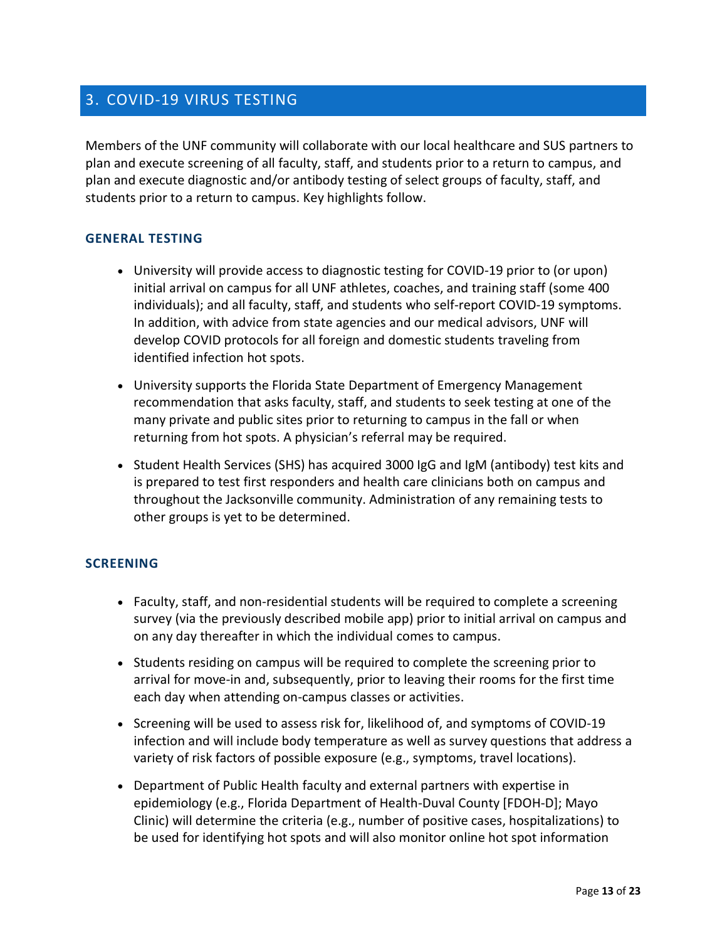## 3. COVID-19 VIRUS TESTING

 plan and execute screening of all faculty, staff, and students prior to a return to campus, and plan and execute diagnostic and/or antibody testing of select groups of faculty, staff, and students prior to a return to campus. Key highlights follow. Members of the UNF community will collaborate with our local healthcare and SUS partners to

#### **GENERAL TESTING**

- University will provide access to diagnostic testing for COVID-19 prior to (or upon) initial arrival on campus for all UNF athletes, coaches, and training staff (some 400 individuals); and all faculty, staff, and students who self-report COVID-19 symptoms. In addition, with advice from state agencies and our medical advisors, UNF will develop COVID protocols for all foreign and domestic students traveling from identified infection hot spots.
- recommendation that asks faculty, staff, and students to seek testing at one of the many private and public sites prior to returning to campus in the fall or when returning from hot spots. A physician's referral may be required. • University supports the Florida State Department of Emergency Management
- throughout the Jacksonville community. Administration of any remaining tests to • Student Health Services (SHS) has acquired 3000 IgG and IgM (antibody) test kits and is prepared to test first responders and health care clinicians both on campus and other groups is yet to be determined.

#### **SCREENING**

- Faculty, staff, and non-residential students will be required to complete a screening survey (via the previously described mobile app) prior to initial arrival on campus and on any day thereafter in which the individual comes to campus.
- arrival for move-in and, subsequently, prior to leaving their rooms for the first time • Students residing on campus will be required to complete the screening prior to each day when attending on-campus classes or activities.
- • Screening will be used to assess risk for, likelihood of, and symptoms of COVID-19 infection and will include body temperature as well as survey questions that address a variety of risk factors of possible exposure (e.g., symptoms, travel locations).
- Clinic) will determine the criteria (e.g., number of positive cases, hospitalizations) to be used for identifying hot spots and will also monitor online hot spot information • Department of Public Health faculty and external partners with expertise in epidemiology (e.g., Florida Department of Health-Duval County [FDOH-D]; Mayo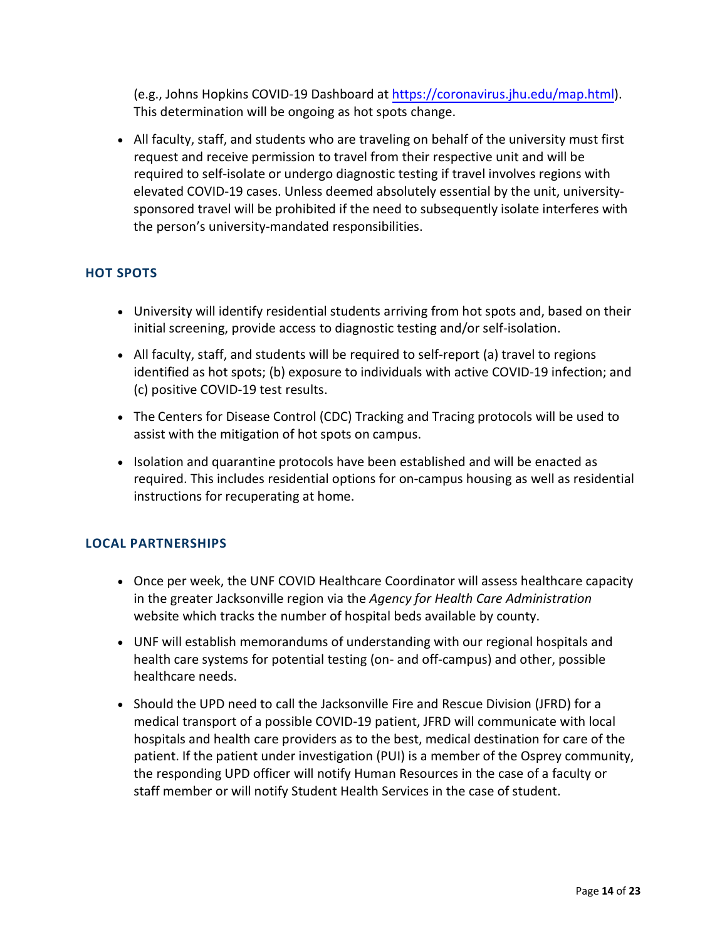(e.g., Johns Hopkins COVID-19 Dashboard at [https://coronavirus.jhu.edu/map.html\)](https://coronavirus.jhu.edu/map.html). This determination will be ongoing as hot spots change.

 • All faculty, staff, and students who are traveling on behalf of the university must first sponsored travel will be prohibited if the need to subsequently isolate interferes with request and receive permission to travel from their respective unit and will be required to self-isolate or undergo diagnostic testing if travel involves regions with elevated COVID-19 cases. Unless deemed absolutely essential by the unit, universitythe person's university-mandated responsibilities.

#### **HOT SPOTS**

- • University will identify residential students arriving from hot spots and, based on their initial screening, provide access to diagnostic testing and/or self-isolation.
- All faculty, staff, and students will be required to self-report (a) travel to regions identified as hot spots; (b) exposure to individuals with active COVID-19 infection; and (c) positive COVID-19 test results.
- assist with the mitigation of hot spots on campus. • The Centers for Disease Control (CDC) Tracking and Tracing protocols will be used to
- required. This includes residential options for on-campus housing as well as residential • Isolation and quarantine protocols have been established and will be enacted as instructions for recuperating at home.

#### **LOCAL PARTNERSHIPS**

- Once per week, the UNF COVID Healthcare Coordinator will assess healthcare capacity in the greater Jacksonville region via the *Agency for Health Care Administration*  website which tracks the number of hospital beds available by county.
- UNF will establish memorandums of understanding with our regional hospitals and health care systems for potential testing (on- and off-campus) and other, possible healthcare needs.
- the responding UPD officer will notify Human Resources in the case of a faculty or • Should the UPD need to call the Jacksonville Fire and Rescue Division (JFRD) for a medical transport of a possible COVID-19 patient, JFRD will communicate with local hospitals and health care providers as to the best, medical destination for care of the patient. If the patient under investigation (PUI) is a member of the Osprey community, staff member or will notify Student Health Services in the case of student.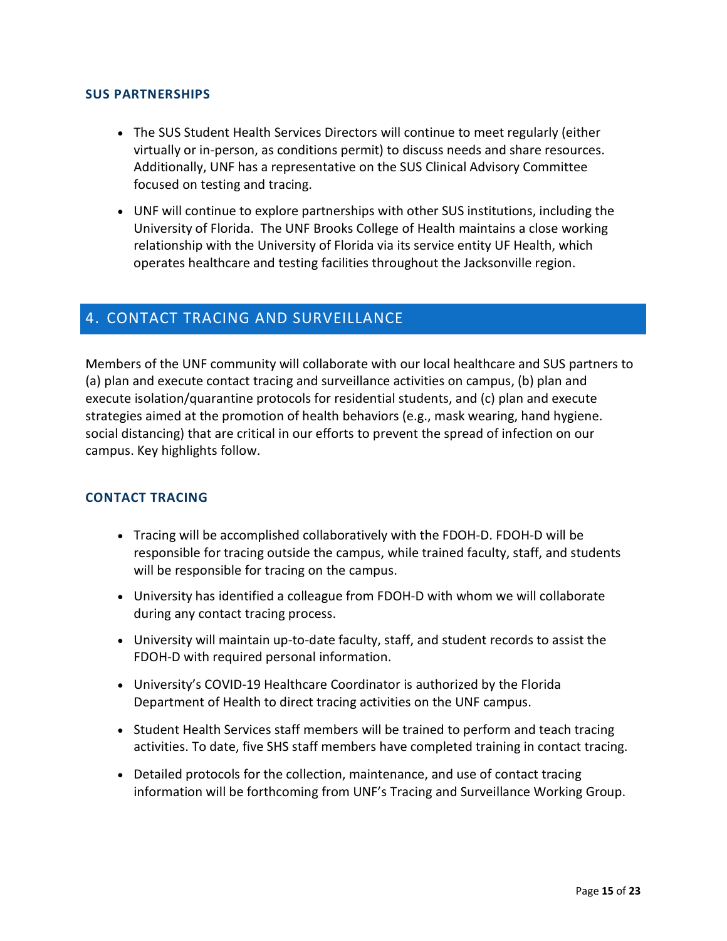#### **SUS PARTNERSHIPS**

- Additionally, UNF has a representative on the SUS Clinical Advisory Committee • The SUS Student Health Services Directors will continue to meet regularly (either virtually or in-person, as conditions permit) to discuss needs and share resources. focused on testing and tracing.
- University of Florida. The UNF Brooks College of Health maintains a close working relationship with the University of Florida via its service entity UF Health, which • UNF will continue to explore partnerships with other SUS institutions, including the operates healthcare and testing facilities throughout the Jacksonville region.

## 4. CONTACT TRACING AND SURVEILLANCE

Members of the UNF community will collaborate with our local healthcare and SUS partners to (a) plan and execute contact tracing and surveillance activities on campus, (b) plan and execute isolation/quarantine protocols for residential students, and (c) plan and execute strategies aimed at the promotion of health behaviors (e.g., mask wearing, hand hygiene. social distancing) that are critical in our efforts to prevent the spread of infection on our campus. Key highlights follow.

#### **CONTACT TRACING**

- responsible for tracing outside the campus, while trained faculty, staff, and students • Tracing will be accomplished collaboratively with the FDOH-D. FDOH-D will be will be responsible for tracing on the campus.
- University has identified a colleague from FDOH-D with whom we will collaborate during any contact tracing process.
- University will maintain up-to-date faculty, staff, and student records to assist the FDOH-D with required personal information.
- University's COVID-19 Healthcare Coordinator is authorized by the Florida Department of Health to direct tracing activities on the UNF campus.
- Student Health Services staff members will be trained to perform and teach tracing activities. To date, five SHS staff members have completed training in contact tracing.
- Detailed protocols for the collection, maintenance, and use of contact tracing information will be forthcoming from UNF's Tracing and Surveillance Working Group.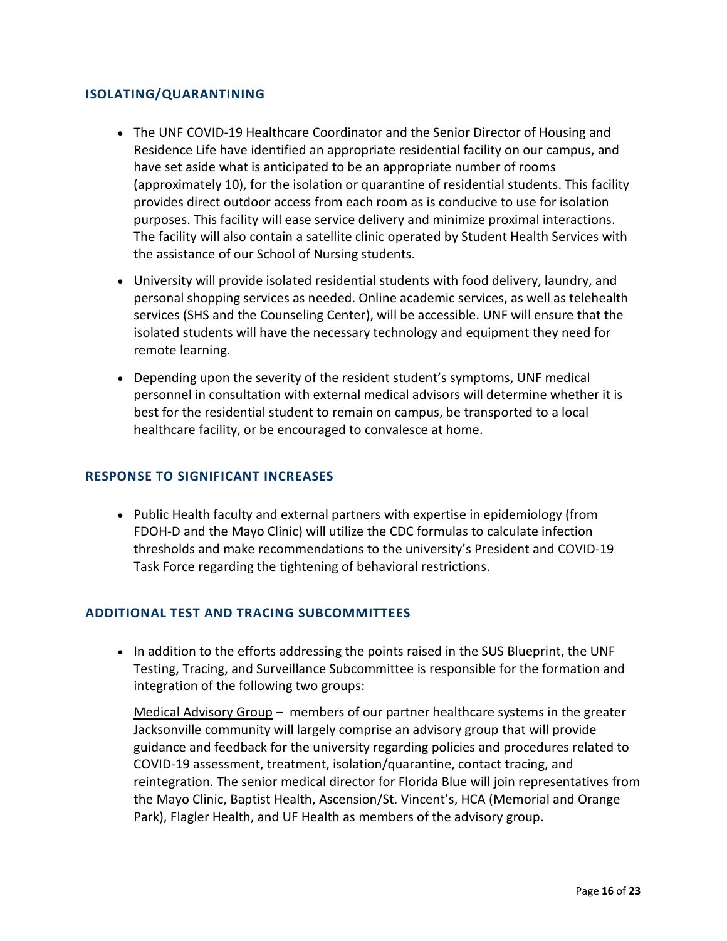#### **ISOLATING/QUARANTINING**

- provides direct outdoor access from each room as is conducive to use for isolation purposes. This facility will ease service delivery and minimize proximal interactions. • The UNF COVID-19 Healthcare Coordinator and the Senior Director of Housing and Residence Life have identified an appropriate residential facility on our campus, and have set aside what is anticipated to be an appropriate number of rooms (approximately 10), for the isolation or quarantine of residential students. This facility The facility will also contain a satellite clinic operated by Student Health Services with the assistance of our School of Nursing students.
- personal shopping services as needed. Online academic services, as well as telehealth • University will provide isolated residential students with food delivery, laundry, and services (SHS and the Counseling Center), will be accessible. UNF will ensure that the isolated students will have the necessary technology and equipment they need for remote learning.
- best for the residential student to remain on campus, be transported to a local • Depending upon the severity of the resident student's symptoms, UNF medical personnel in consultation with external medical advisors will determine whether it is healthcare facility, or be encouraged to convalesce at home.

#### **RESPONSE TO SIGNIFICANT INCREASES**

• Public Health faculty and external partners with expertise in epidemiology (from FDOH-D and the Mayo Clinic) will utilize the CDC formulas to calculate infection thresholds and make recommendations to the university's President and COVID-19 Task Force regarding the tightening of behavioral restrictions.

#### **ADDITIONAL TEST AND TRACING SUBCOMMITTEES**

• In addition to the efforts addressing the points raised in the SUS Blueprint, the UNF Testing, Tracing, and Surveillance Subcommittee is responsible for the formation and integration of the following two groups:

Medical Advisory Group - members of our partner healthcare systems in the greater guidance and feedback for the university regarding policies and procedures related to Park), Flagler Health, and UF Health as members of the advisory group. Jacksonville community will largely comprise an advisory group that will provide COVID-19 assessment, treatment, isolation/quarantine, contact tracing, and reintegration. The senior medical director for Florida Blue will join representatives from the Mayo Clinic, Baptist Health, Ascension/St. Vincent's, HCA (Memorial and Orange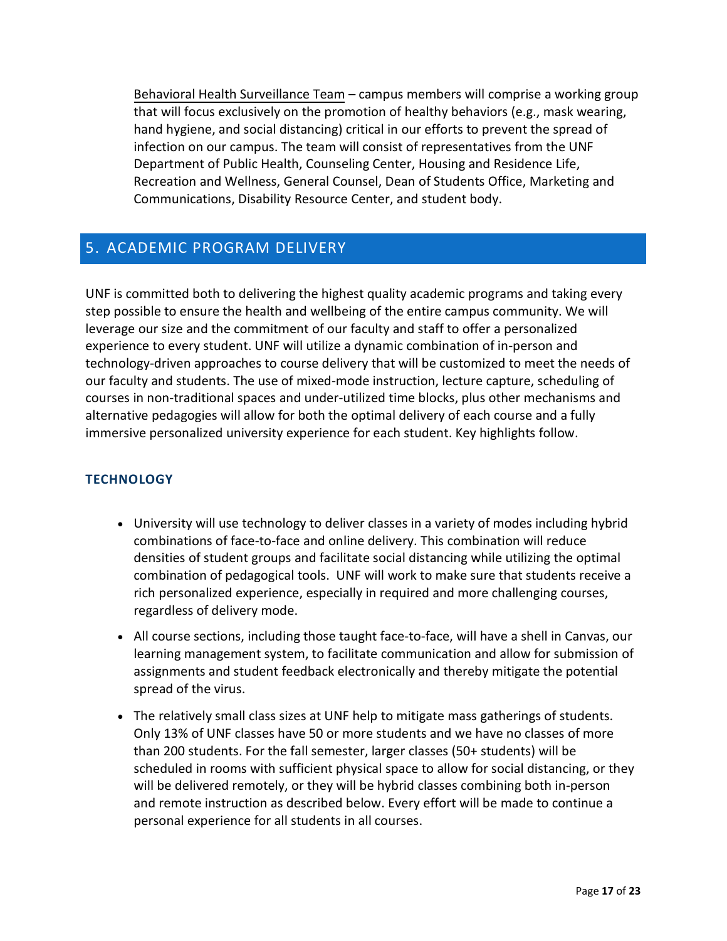Behavioral Health Surveillance Team – campus members will comprise a working group that will focus exclusively on the promotion of healthy behaviors (e.g., mask wearing, hand hygiene, and social distancing) critical in our efforts to prevent the spread of infection on our campus. The team will consist of representatives from the UNF Department of Public Health, Counseling Center, Housing and Residence Life, Recreation and Wellness, General Counsel, Dean of Students Office, Marketing and Communications, Disability Resource Center, and student body.

## 5. ACADEMIC PROGRAM DELIVERY

 step possible to ensure the health and wellbeing of the entire campus community. We will experience to every student. UNF will utilize a dynamic combination of in-person and technology-driven approaches to course delivery that will be customized to meet the needs of alternative pedagogies will allow for both the optimal delivery of each course and a fully UNF is committed both to delivering the highest quality academic programs and taking every leverage our size and the commitment of our faculty and staff to offer a personalized our faculty and students. The use of mixed-mode instruction, lecture capture, scheduling of courses in non-traditional spaces and under-utilized time blocks, plus other mechanisms and immersive personalized university experience for each student. Key highlights follow.

#### **TECHNOLOGY**

- • University will use technology to deliver classes in a variety of modes including hybrid combination of pedagogical tools. UNF will work to make sure that students receive a combinations of face-to-face and online delivery. This combination will reduce densities of student groups and facilitate social distancing while utilizing the optimal rich personalized experience, especially in required and more challenging courses, regardless of delivery mode.
- • All course sections, including those taught face-to-face, will have a shell in Canvas, our assignments and student feedback electronically and thereby mitigate the potential learning management system, to facilitate communication and allow for submission of spread of the virus.
- and remote instruction as described below. Every effort will be made to continue a • The relatively small class sizes at UNF help to mitigate mass gatherings of students. Only 13% of UNF classes have 50 or more students and we have no classes of more than 200 students. For the fall semester, larger classes (50+ students) will be scheduled in rooms with sufficient physical space to allow for social distancing, or they will be delivered remotely, or they will be hybrid classes combining both in-person personal experience for all students in all courses.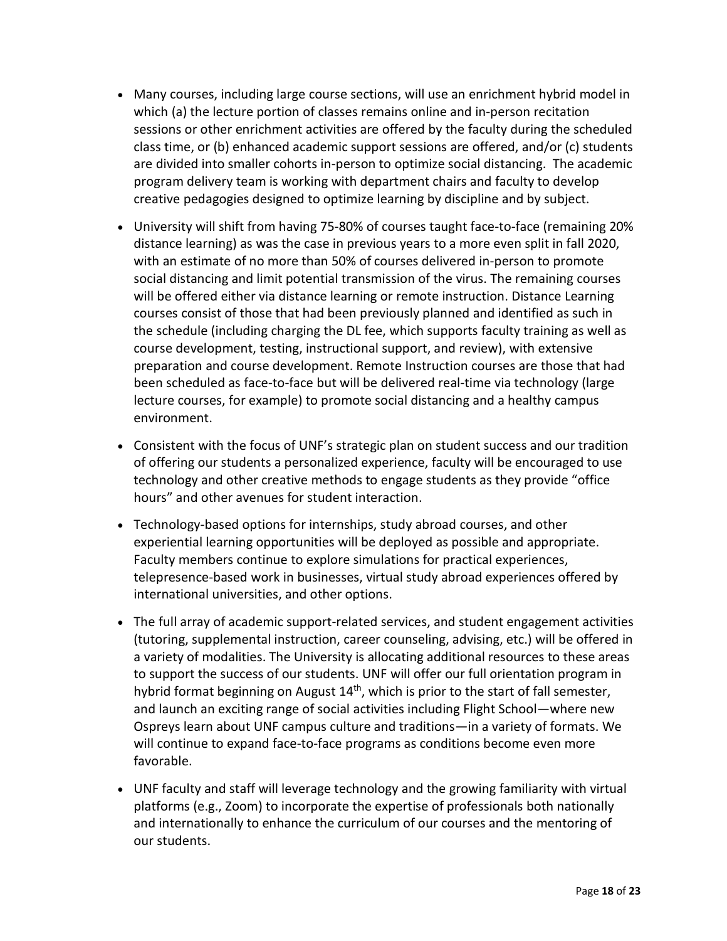- class time, or (b) enhanced academic support sessions are offered, and/or (c) students • Many courses, including large course sections, will use an enrichment hybrid model in which (a) the lecture portion of classes remains online and in-person recitation sessions or other enrichment activities are offered by the faculty during the scheduled are divided into smaller cohorts in-person to optimize social distancing. The academic program delivery team is working with department chairs and faculty to develop creative pedagogies designed to optimize learning by discipline and by subject.
- with an estimate of no more than 50% of courses delivered in-person to promote lecture courses, for example) to promote social distancing and a healthy campus • University will shift from having 75-80% of courses taught face-to-face (remaining 20% distance learning) as was the case in previous years to a more even split in fall 2020, social distancing and limit potential transmission of the virus. The remaining courses will be offered either via distance learning or remote instruction. Distance Learning courses consist of those that had been previously planned and identified as such in the schedule (including charging the DL fee, which supports faculty training as well as course development, testing, instructional support, and review), with extensive preparation and course development. Remote Instruction courses are those that had been scheduled as face-to-face but will be delivered real-time via technology (large environment.
- • Consistent with the focus of UNF's strategic plan on student success and our tradition hours" and other avenues for student interaction. of offering our students a personalized experience, faculty will be encouraged to use technology and other creative methods to engage students as they provide "office
- international universities, and other options. • Technology-based options for internships, study abroad courses, and other experiential learning opportunities will be deployed as possible and appropriate. Faculty members continue to explore simulations for practical experiences, telepresence-based work in businesses, virtual study abroad experiences offered by
- • The full array of academic support-related services, and student engagement activities to support the success of our students. UNF will offer our full orientation program in (tutoring, supplemental instruction, career counseling, advising, etc.) will be offered in a variety of modalities. The University is allocating additional resources to these areas hybrid format beginning on August 14<sup>th</sup>, which is prior to the start of fall semester, and launch an exciting range of social activities including Flight School—where new Ospreys learn about UNF campus culture and traditions—in a variety of formats. We will continue to expand face-to-face programs as conditions become even more favorable.
- UNF faculty and staff will leverage technology and the growing familiarity with virtual platforms (e.g., Zoom) to incorporate the expertise of professionals both nationally and internationally to enhance the curriculum of our courses and the mentoring of our students.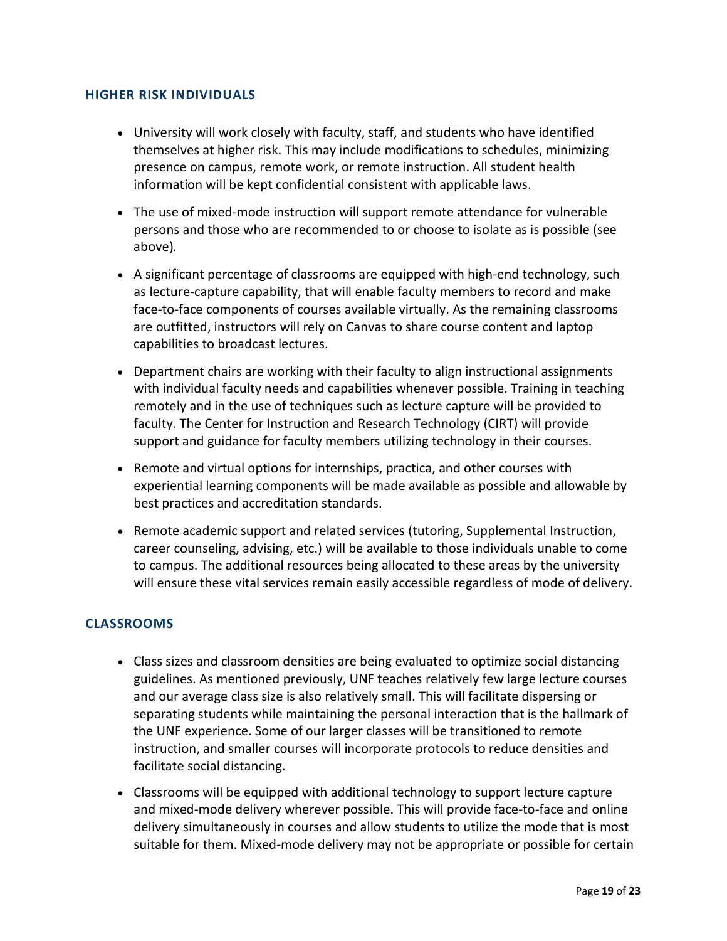#### **HIGHER RISK INDIVIDUALS**

- University will work closely with faculty, staff, and students who have identified themselves at higher risk. This may include modifications to schedules, minimizing presence on campus, remote work, or remote instruction. All student health information will be kept confidential consistent with applicable laws.
- The use of mixed-mode instruction will support remote attendance for vulnerable persons and those who are recommended to or choose to isolate as is possible (see above)*.*
- A significant percentage of classrooms are equipped with high-end technology, such as lecture-capture capability, that will enable faculty members to record and make face-to-face components of courses available virtually. As the remaining classrooms are outfitted, instructors will rely on Canvas to share course content and laptop capabilities to broadcast lectures.
- with individual faculty needs and capabilities whenever possible. Training in teaching • Department chairs are working with their faculty to align instructional assignments remotely and in the use of techniques such as lecture capture will be provided to faculty. The Center for Instruction and Research Technology (CIRT) will provide support and guidance for faculty members utilizing technology in their courses.
- experiential learning components will be made available as possible and allowable by • Remote and virtual options for internships, practica, and other courses with best practices and accreditation standards.
- to campus. The additional resources being allocated to these areas by the university • Remote academic support and related services (tutoring, Supplemental Instruction, career counseling, advising, etc.) will be available to those individuals unable to come will ensure these vital services remain easily accessible regardless of mode of delivery.

#### **CLASSROOMS**

- • Class sizes and classroom densities are being evaluated to optimize social distancing guidelines. As mentioned previously, UNF teaches relatively few large lecture courses and our average class size is also relatively small. This will facilitate dispersing or separating students while maintaining the personal interaction that is the hallmark of the UNF experience. Some of our larger classes will be transitioned to remote instruction, and smaller courses will incorporate protocols to reduce densities and facilitate social distancing.
- delivery simultaneously in courses and allow students to utilize the mode that is most • Classrooms will be equipped with additional technology to support lecture capture and mixed-mode delivery wherever possible. This will provide face-to-face and online suitable for them. Mixed-mode delivery may not be appropriate or possible for certain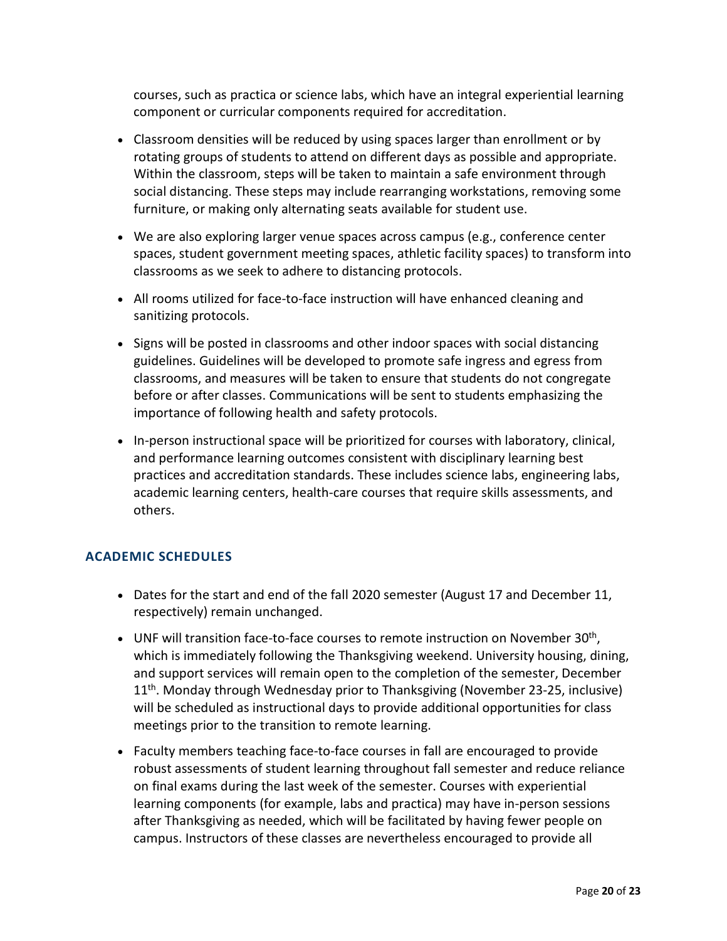courses, such as practica or science labs, which have an integral experiential learning component or curricular components required for accreditation.

- rotating groups of students to attend on different days as possible and appropriate. social distancing. These steps may include rearranging workstations, removing some • Classroom densities will be reduced by using spaces larger than enrollment or by Within the classroom, steps will be taken to maintain a safe environment through furniture, or making only alternating seats available for student use.
- • We are also exploring larger venue spaces across campus (e.g., conference center spaces, student government meeting spaces, athletic facility spaces) to transform into classrooms as we seek to adhere to distancing protocols.
- All rooms utilized for face-to-face instruction will have enhanced cleaning and sanitizing protocols.
- • Signs will be posted in classrooms and other indoor spaces with social distancing classrooms, and measures will be taken to ensure that students do not congregate before or after classes. Communications will be sent to students emphasizing the importance of following health and safety protocols. guidelines. Guidelines will be developed to promote safe ingress and egress from
- • In-person instructional space will be prioritized for courses with laboratory, clinical, and performance learning outcomes consistent with disciplinary learning best practices and accreditation standards. These includes science labs, engineering labs, academic learning centers, health-care courses that require skills assessments, and others.

#### **ACADEMIC SCHEDULES**

- • Dates for the start and end of the fall 2020 semester (August 17 and December 11, respectively) remain unchanged.
- will be scheduled as instructional days to provide additional opportunities for class • UNF will transition face-to-face courses to remote instruction on November 30<sup>th</sup>, which is immediately following the Thanksgiving weekend. University housing, dining, and support services will remain open to the completion of the semester, December 11th. Monday through Wednesday prior to Thanksgiving (November 23-25, inclusive) meetings prior to the transition to remote learning.
- Faculty members teaching face-to-face courses in fall are encouraged to provide robust assessments of student learning throughout fall semester and reduce reliance on final exams during the last week of the semester. Courses with experiential learning components (for example, labs and practica) may have in-person sessions after Thanksgiving as needed, which will be facilitated by having fewer people on campus. Instructors of these classes are nevertheless encouraged to provide all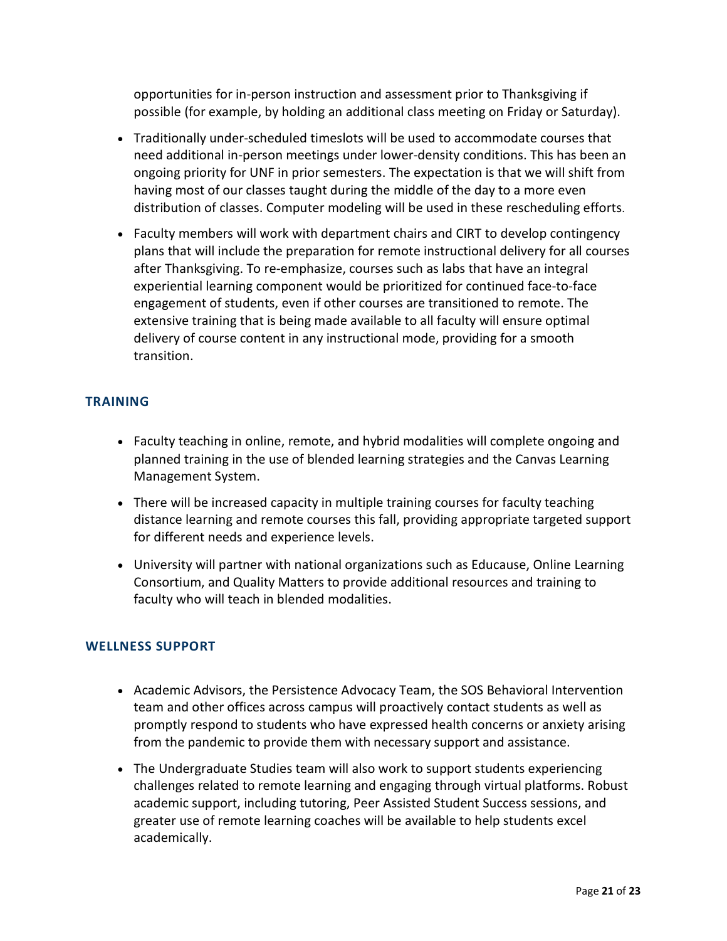opportunities for in-person instruction and assessment prior to Thanksgiving if possible (for example, by holding an additional class meeting on Friday or Saturday).

- • Traditionally under-scheduled timeslots will be used to accommodate courses that need additional in-person meetings under lower-density conditions. This has been an having most of our classes taught during the middle of the day to a more even ongoing priority for UNF in prior semesters. The expectation is that we will shift from distribution of classes. Computer modeling will be used in these rescheduling efforts.
- after Thanksgiving. To re-emphasize, courses such as labs that have an integral • Faculty members will work with department chairs and CIRT to develop contingency plans that will include the preparation for remote instructional delivery for all courses experiential learning component would be prioritized for continued face-to-face engagement of students, even if other courses are transitioned to remote. The extensive training that is being made available to all faculty will ensure optimal delivery of course content in any instructional mode, providing for a smooth transition.

#### **TRAINING**

- planned training in the use of blended learning strategies and the Canvas Learning • Faculty teaching in online, remote, and hybrid modalities will complete ongoing and Management System.
- There will be increased capacity in multiple training courses for faculty teaching distance learning and remote courses this fall, providing appropriate targeted support for different needs and experience levels.
- University will partner with national organizations such as Educause, Online Learning Consortium, and Quality Matters to provide additional resources and training to faculty who will teach in blended modalities.

#### **WELLNESS SUPPORT**

- Academic Advisors, the Persistence Advocacy Team, the SOS Behavioral Intervention team and other offices across campus will proactively contact students as well as promptly respond to students who have expressed health concerns or anxiety arising from the pandemic to provide them with necessary support and assistance.
- greater use of remote learning coaches will be available to help students excel • The Undergraduate Studies team will also work to support students experiencing challenges related to remote learning and engaging through virtual platforms. Robust academic support, including tutoring, Peer Assisted Student Success sessions, and academically.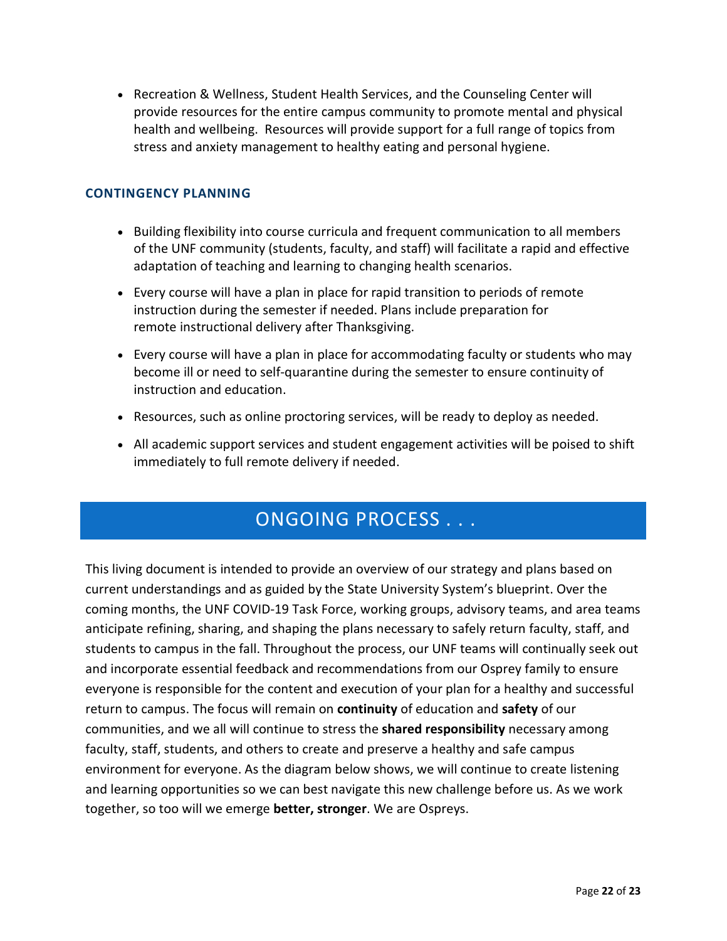health and wellbeing. Resources will provide support for a full range of topics from • Recreation & Wellness, Student Health Services, and the Counseling Center will provide resources for the entire campus community to promote mental and physical stress and anxiety management to healthy eating and personal hygiene.

#### **CONTINGENCY PLANNING**

- Building flexibility into course curricula and frequent communication to all members of the UNF community (students, faculty, and staff) will facilitate a rapid and effective adaptation of teaching and learning to changing health scenarios.
- Every course will have a plan in place for rapid transition to periods of remote instruction during the semester if needed. Plans include preparation for remote instructional delivery after Thanksgiving.
- • Every course will have a plan in place for accommodating faculty or students who may become ill or need to self-quarantine during the semester to ensure continuity of instruction and education.
- Resources, such as online proctoring services, will be ready to deploy as needed.
- • All academic support services and student engagement activities will be poised to shift immediately to full remote delivery if needed.

## ONGOING PROCESS . . .

 This living document is intended to provide an overview of our strategy and plans based on current understandings and as guided by the State University System's blueprint. Over the students to campus in the fall. Throughout the process, our UNF teams will continually seek out everyone is responsible for the content and execution of your plan for a healthy and successful return to campus. The focus will remain on **continuity** of education and **safety** of our communities, and we all will continue to stress the **shared responsibility** necessary among together, so too will we emerge **better, stronger**. We are Ospreys. coming months, the UNF COVID-19 Task Force, working groups, advisory teams, and area teams anticipate refining, sharing, and shaping the plans necessary to safely return faculty, staff, and and incorporate essential feedback and recommendations from our Osprey family to ensure faculty, staff, students, and others to create and preserve a healthy and safe campus environment for everyone. As the diagram below shows, we will continue to create listening and learning opportunities so we can best navigate this new challenge before us. As we work